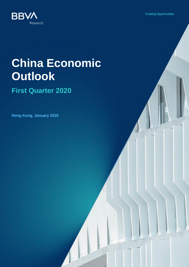**Creating Opportunities** 



# **China Economic Outlook**

# **First Quarter 2020**

**Hong Kong, January 2020**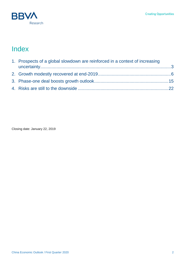

# Index

| 1. Prospects of a global slowdown are reinforced in a context of increasing |  |  |
|-----------------------------------------------------------------------------|--|--|
|                                                                             |  |  |
|                                                                             |  |  |
|                                                                             |  |  |

<span id="page-1-0"></span>Closing date: January 22, 2019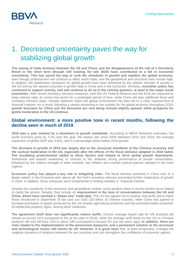

# 1. Decreased uncertainty paves the way for stabilizing global growth

**The easing of trade tensions between the US and China, and the disappearance of the risk of a disorderly Brexit in the short term (though still existing for late 2020) have contributed to a fall in economic uncertainty. This has paved the way to curb the slowdown in growth and stabilize the global economy**, even though protectionism will continue to affect world trade, and the geopolitical and structural risks remain high. In addition, the stabilization prospects for global growth have been bolstered by the relative strength of activity in the US and by the upward surprises in growth data in China and in the Eurozone. Similarly**, economic policy has continued to support activity, and will continue to do so in the coming quarters, at least in the major world economies**. After recent monetary stimulus measures, both the US Federal Reserve and the ECB are expected to keep interest rates at current low levels for a prolonged period of time, while China will take additional fiscal and monetary stimulus steps. Greater optimism about the global environment has also led to a clear improvement of financial markets. As a result, following a steady worsening in the outlook for the global economy throughout 2019, **growth forecasts for China and the Eurozone are now being revised slightly upward, while prospects for gentle moderation in the US continue.**

#### **Global environment: a more positive tone in recent months, following the decline seen in much of 2019**

**2019 was a year marked by a slowdown in growth worldwide.** According to BBVA Research estimates, the world economy grew by 3.2% over the year, the lowest rate since 2009 (between 2010 and 2018, the average expansion of global GDP was 3.8%), and 0.4 percentage points below 2018 growth.

**The decrease in growth in 2019 was largely due to the structural slowdown of the Chinese economy and the cyclical moderation in the US, especially after the effects of the fiscal stimulus adopted in 2018 faded. The escalating protectionism added to these factors and helped to drive global growth downwards.** Investment and exports weakened, in contrast to the relatively strong performance of private consumption, bolstered by the relative strength of labor markets, low inflation and counter-cyclical policies adopted in the main regions.

**Economic policy has played a key role in mitigating risks.** The fiscal stimulus launched in China and, to a lesser extent, in the Eurozone and, above all, the Fed's monetary stimulus prevented further moderation of growth in 2019. In addition, these measures were fundamental to limiting volatility in financial markets.

Despite the complexity of the economic and geopolitical context, some positive news in recent months have helped to clarify the picture. Notably, they include an **improvement in the tone of conversations between the US and China, which have reached a "phase one" trade deal.** The US has agreed not to impose new tariffs and to halve those introduced in September of last year (on USD 120 billion of Chinese exports), while China has agreed to increase purchases of goods produced by the US (mainly agricultural products) and has promised better protection of intellectual property rights, among other measures.

**The agreement itself does not significantly reduce tariffs.** China's average import rate for US products will remain at around 21% (compared to 8% at the start of 2018), while the average tariff levied by the US on Chinese products will only fall from 21% to about 19% (compared to around 3% just two years ago). **In addition, there are risks related to the implementation of the announced measures, and a permanent solution to the structural and technological issues still seems far off. However, it is good news** that, at least temporarily, changes the negative dynamics of relations between the two countries and can strengthen the confidence of economic agents.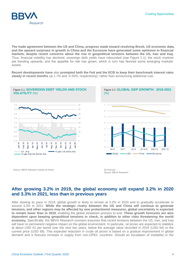**Creating Opportunities** 



**The trade agreement between the US and China, progress made toward resolving Brexit, US economic data, and the upward surprises in growth in China and the Eurozone have generated some optimism in financial markets, despite recent concerns about the rise in geopolitical tensions between the US, Iran and Iraq.** Thus, financial volatility has declined, sovereign debt yields have rebounded (see Figure 2.1), the stock markets are trending upwards, and the appetite for risk has grown, which in turn has favored some emerging markets' assets.

**Recent developments have** also **prompted both the Fed and the ECB to keep their benchmark interest rates steady in recent months** (at 1.7% and -0.50%, respectively), rather than announcing additional cuts.



Figure 2.2. **GLOBAL GDP GROWTH: 2016-2021**  $(% )$ 2016 2017 2018 2019(f) 2020 (f) 2021 (f)

 $Chins -$ 

Eurozone

 $-$  USA  $-$ 

Source: BBVA Research based on Haver (f) Forecast.

Source: BBVA Research

Global

#### **After growing 3.2% in 2019, the global economy will expand 3.2% in 2020 and 3.3% in 2021, less than in previous years**

After slowing its pace in 2019, global growth is likely to remain at 3.2% in 2020 and to gradually accelerate to around 3.3% in 2021. **While the strategic rivalry between the US and China will continue to generate tensions, and other regions may be affected by new protectionist measures, global uncertainty is expected to remain lower than in 2019**, enabling the global slowdown process to end. **These growth forecasts are also dependent upon keeping geopolitical tensions in check, in addition to other risks threatening the world economy.** Specifically, the BBVA Research scenario assumes that recent tensions between the US, Iran, and Iraq will have no permanent negative impact on the global environment. In particular, oil prices are expected to stabilize at about USD 61 per barrel over the next two years, below the average value recorded in 2019 (USD 64) or the current price (USD 68). This expected reduction in crude oil prices is based on a gradual improvement in global demand and a forecast increase in supply from non-OPEC countries. Should an escalation of instability in the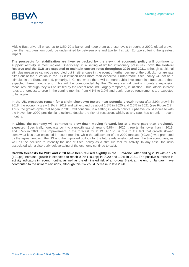

Middle East drive oil prices up to USD 70 a barrel and keep them at these levels throughout 2020, global growth over the next biennium could be undermined by between one and two tenths, with Europe suffering the greatest impact.

**The prospects for stabilization are likewise backed by the view that economic policy will continue to support activity** in most regions. Specifically, in a setting of limited inflationary pressures, **both the Federal Reserve and the ECB are expected to maintain current rates throughout 2020 and 2021**, although additional stimulus measures cannot be not ruled out in either case in the event of further decline of the outlook, nor are rate hikes out of the question in the US if inflation rises more than expected. Furthermore, fiscal policy will act as a stimulus in the Eurozone and, primarily, in China, where there will be more public investment in infrastructure than expected three months ago. This will be compounded by the Chinese central bank's monetary expansion measures, although they will be limited by the recent rebound, largely temporary, in inflation. Thus, official interest rates are forecast to drop in the coming months, from 4.1% to 3.9% and bank reserve requirements are expected to fall again.

**In the US, prospects remain for a slight slowdown toward near-potential growth rates:** after 2.9% growth in 2018, the economy grew 2.3% in 2019 and will expand by about 1.8% in 2020 and 2.0% in 2021 (see Figure 2.2). Thus, the growth cycle that began in 2010 will continue, in a setting in which political upheaval could increase with the November 2020 presidential elections, despite the risk of recession, which, at any rate, has shrunk in recent months.

**In China, the economy will continue to slow down moving forward, but at a more pace than previously expected**. Specifically, forecasts point to a growth rate of around 5.8% in 2020, three tenths lower than in 2019, and 5.5% in 2021. The improvement in the forecast for 2019 (+0.1pp) is due to the fact that growth slowed somewhat less than expected in recent months, while the adjustment of the 2020 forecast (+0.2pp) was prompted by the agreement with the US and the improved outlook for the future relationship between the two economies, as well as the decision to intensify the use of fiscal policy as a stimulus tool for activity. In any case, the risks associated with a disorderly deleveraging of the economy continue to exist.

**Growth forecasts for 2019 and 2020 have been revised slightly in the Eurozone.** After ending 2019 with a 1.2% (+0.1pp) increase, growth is expected to reach 0.9% (+0.1pp) in 2020 and 1.2% in 2021. The positive surprises in activity indicators in recent months, as well as the eliminated risk of a no-deal Brexit at the end of January, have contributed to the upward revisions, although this risk could increase in late 2020.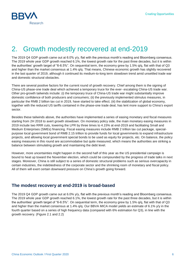# 2. Growth modestly recovered at end-2019

The 2019 Q4 GDP growth came out at 6.0% y/y, flat with the previous month's reading and Bloomberg consensus. The 2019 whole year GDP growth reached 6.1%, the lowest growth rate for the past three decades, but it is within the authorities' growth target of "6-6.5%". On sequential term, the economy grew by 1.5% q/q, flat with that of Q3 and higher than the market consensus at 1.4% q/q. That means, Chinese economic growth has slightly recovered in the last quarter of 2019, although it continued its medium-to-long term slowdown trend amid unsettled trade war and domestic structural obstacles.

There are several positive factors for the current round of growth recovery. Chief among them is the signing of China-US phase-one trade deal which achieved a temporary truce for the ever- escalating China-US trade war. Other pro-growth tailwinds include: (i) the temporary truce of China-US trade war might substantially improve domestic confidence of both producers and consumers; (ii) the previously implemented stimulus measures, in particular the RMB 2 billion tax cut in 2019, have started to take effect; (iii) the stabilization of global economy, together with the reduced US tariffs contained in the phase-one trade deal, has lent more support to China's export sector.

Besides these tailwinds above, the authorities have implemented a series of easing monetary and fiscal measures starting from 2H 2018 to avert growth slowdown. On monetary policy side, the main monetary easing measures in 2019 include two RRR cuts, lowering the LPR by three times to 4.15% at end-2019 and facilitating Small and Medium Enterprises (SMEs) financing. Fiscal easing measures include RMB 2 trillion tax cut package, specialpurpose local government bond of RMB 2.15 trillion to provide funds for local governments to expand infrastructure projects, and allowing local government special bonds to be used as equity for projects, etc. On balance, the policy easing measures in this round are accommodative but quite measured, which means the authorities are striking a balance between stimulating growth and maintaining the debt level.

However, more uncertainties might happen in the second half of this year as the US presidential campaign is bound to heat up toward the November election, which could be compounded by the progress of trade talks in next stages. Moreover, China is still subject to a series of domestic structural problems such as serious overcapacity in certain industries, the indebtedness of the corporate sector and the shrinking room of monetary and fiscal policy. All of them will exert certain downward pressure on China's growth going forward.

# **The modest recovery at end-2019 is broad-based**

The 2019 Q4 GDP growth came out at 6.0% y/y, flat with the previous month's reading and Bloomberg consensus. The 2019 whole year GDP growth reached 6.1%, the lowest growth rate for the past three decades, but it is within the authorities' growth target of "6-6.5%". On sequential term, the economy grew by 1.5% q/q, flat with that of Q3 and higher than the market consensus at 1.4% q/q. Our BBVA MICA model yields an estimate of 6.1% y/y in the fourth quarter based on a series of high frequency data (compared with 6% estimation for Q3), in line with the growth recovery. (Figure 2.1 and 2.2)

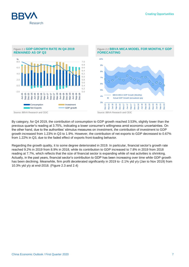



Figure 2.1 **GDP GROWTH RATE IN Q4 2019**

By category, for Q4 2019, the contribution of consumption to GDP growth reached 3.53%, slightly lower than the previous quarter's reading at 3.75%, indicating a lower consumer's willingness amid economic uncertainties. On the other hand, due to the authorities' stimulus measures on investment, the contribution of investment to GDP growth increased from 1.23% in Q3 to 1.9%. However, the contribution of net exports to GDP decreased to 0.67% from 1.22% in Q3, due to the faded effect of exports front-loading behavior.

Regarding the growth quality, it to some degree deteriorated in 2019. In particular, financial sector's growth rate reached 9.2% in 2019 from 8.9% in 2018, while its contribution to GDP increased to 7.8% in 2019 from 2018 reading at 7.7%, which reflects that the size of financial sector is expanding while of real activities is shrinking. Actually, in the past years, financial sector's contribution to GDP has been increasing over time while GDP growth has been declining. Meanwhile, firm profit decelerated significantly in 2019 to -2.1% ytd y/y (Jan to Nov 2019) from 10.3% ytd y/y at end-2018. (Figure 2.3 and 2.4)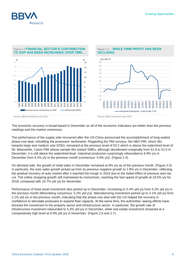

#### Figure 2.3 **FINANCIAL SECTOR'S CONTRIBUTION TO GDP HAS BEEN INCREASING OVER TIME…**



#### Figure 2.4 **…WHILE FIRM PROFIT HAS BEEN DECLINING**



Source: BBVA Research and CEIC Source: BBVA Research and CEIC

The economic recovery is broad-based in December as all of the economic indicators are better than the previous readings and the market consensus.

The performance of the supply side recovered after the US-China announced the accomplishment of long-waited phase-one deal, rebuilding the producers' sentiments. Regarding the PMI surveys, the NBS PMI, which tilts towards large and medium size SOEs, remained at the previous level of 50.2 which is above the watershed level of 50. Meanwhile, Caixin PMI whose sample tilts toward SMEs, although decelerated marginally from 51.8 to 51.5 in December, it is still above the watershed level. Industrial production surprisingly rebounded to 6.9% y/y in December from 6.2% y/y in the previous month (consensus: 5.9% y/y). (Figure 2.4)

On demand side, the growth of retail sales in December remained at 8% y/y as of the previous month. (Figure 2.5) In particular, the auto sales growth picked up from its previous negative growth to 1.8% y/y in December, reflecting the gradual recovery of auto market after it reached the trough in 2019 due to the faded effect of previous auto tax cut. The online shopping growth still maintained its momentum, reaching the fast speed of growth at 19.5% y/y for 2019, compared with 19.7% ytd y/y for November.

Performance of fixed asset investment also picked up in December, increasing to 5.4% ytd y/y from 5.2% ytd y/y in the previous month (Bloomberg consensus: 5.2% ytd y/y). Manufacturing investment picked up to 3.1% ytd y/y from 2.1% ytd y/y in the previous month, indicating that the phase-one deal with the US helped the recovery in confidence to stimulate producers to expand their capacity. At the same time, the authorities' easing efforts have boosted the investment in the property sector and infrastructure sector. In particular, the growth rate of infrastructure investment rebounded to 3.3% ytd y/y in December, while real estate investment remained at a comparatively high level at 9.4% ytd y/y in November. (Figure 2.6 and 2.7)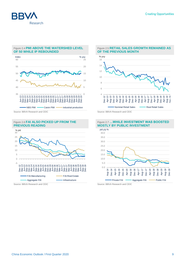

#### Figure 2.4 **PMI ABOVE THE WATERSHED LEVEL OF 50 WHILE IP REBOUNDED**



#### Figure 2.6 **FAI ALSO PICKED UP FROM THE PREVIOUS READING**



#### Figure 2.5 **RETAIL SALES GROWTH REMAINED AS OF THE PREVIOUS MONTH**



Source: BBVA Research and CEIC Source: BBVA Research and CEIC

#### 0.0 5.0 10.0 15.0 20.0 25.0 30.0 35.0 40.0 Aug-14 Dec-14 Apr-15 Aug-15 Dec-15 Apr-16 Aug-16 Dec-16 Apr-17 Aug-17 Dec-17 Apr-18 Aug-18 Dec-18 Apr-19 Aug-19 Dec-19 Private FAI **- Aggregate FAI - Public FAI** ytd y/y %

Source: BBVA Research and CEIC Source: BBVA Research and CEIC

#### Figure 2.7 **…WHILE INVESTMENT WAS BOOSTED MOSTLY BY PUBLIC INVESTMENT**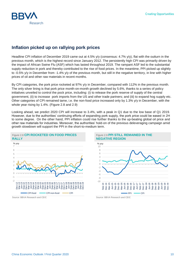# **Inflation picked up on rallying pork prices**

Research

Headline CPI inflation of December 2019 came out at 4.5% y/y (consensus: 4.7% y/y), flat with the outturn in the previous month, which is the highest record since January 2012. The persistently high CPI was primarily driven by the impact of African Swine Flu (ASF) which has lasted throughout 2019. The rampant ASF led to the substantial supply reduction in pork and thereby contributed to the rise of food prices. In the meantime, PPI picked up slightly to -0.5% y/y in December from -1.4% y/y of the previous month, but still in the negative territory, in line with higher prices of oil and other raw materials in recent months.

By CPI categories, the pork price rocketed at 97% y/y in December, compared with 112% in the previous month. The only silver lining is that pork price month-on-month growth declined by 5.6%, thanks to a series of policy initiatives unveiled to control the pock price, including: (i) to release the pork reserve of supply of the central government, (ii) to increase pork imports from the US and other trade partners; and (iii) to expand hog supply etc. Other categories of CPI remained tame, i.e. the non-food price increased only by 1.3% y/y in December, with the whole year rising by 1.4%. (Figure 2.8 and 2.9)

Looking ahead, we predict 2020 CPI will increase to 3.4%, with a peak in Q1 due to the low base of Q1 2019. However, due to the authorities' continuing efforts of expanding pork supply, the pork price could be eased in 2H to some degree. On the other hand, PPI inflation could rise further thanks to the up-beating global oil price and other raw materials for industries. Moreover, the authorities' hold-on of the previous deleveraging campaign amid growth slowdown will support the PPI in the short-to-medium term.





#### Figure 2.9 **PPI STILL REMAINED IN THE NEGATIVE REGION**



Source: BBVA Research and CEIC Source: BBVA Research and CEIC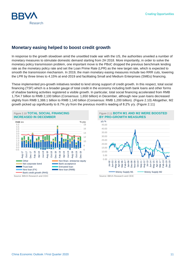## **Monetary easing helped to boost credit growth**

Research

In response to the growth slowdown amid the unsettled trade war with the US, the authorities unveiled a number of monetary measures to stimulate domestic demand starting from 2H 2018. More importantly, in order to solve the monetary policy transmission problem, one important move is the PBoC dropped the previous benchmark lending rate as the monetary policy rate and set the Loan Prime Rate (LPR) as the new target rate, which is expected to smooth the transmission mechanism. In 2019, the main monetary easing measures include two RRR cuts, lowering the LPR by three times to 4.15% at end-2019 and facilitating Small and Medium Enterprises (SMEs) financing.

These implemented pro-growth initiatives tended to lend strong support of credit growth. In this respect, total social financing (TSF) which is a broader gauge of total credit in the economy including both bank loans and other forms of shadow banking activities registered a visible growth. In particular, total social financing accelerated from RMB 1,754.7 billion to RMB 2,100 billion (Consensus: 1,650 billion) in December, although new yuan loans decreased slightly from RMB 1,388.1 billion to RMB 1,140 billion (Consensus: RMB 1,200 billion). (Figure 2.10) Altogether, M2 growth picked up significantly to 8.7% y/y from the previous month's reading of 8.2% y/y. (Figure 2.11)



Source: BBVA Research and CEIC Source: BBVA Research and CEIC

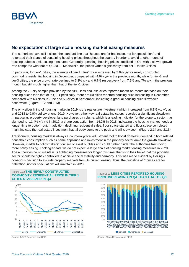

### **No expectation of large scale housing market easing measures**

The authorities have still insisted the standard line that "houses are for habitation, not for speculation" and reiterated their stance of containing housing prices throughout the country in order to avoid another round of housing bubbles amid easing measures. Generally speaking, housing prices stabilized in Q4, with a slower growth rate compared with that of Q3 2019. Meanwhile, the prices varied significantly from tier-1 to tier-3 cities.

In particular, for tier-1 cities, the average of tier-1 cities' price increased by 3.8% y/y for newly constructed commodity residential housing in December, compared with 4.9% y/y in the previous month; while for tier-2 and tier-3 cities, the price growth rate declined to 7.3% y/y and 6.7% respectively from 7.9% and 7% y/y in the previous month, but still much higher than that of the tier-1 cities.

Among the 70-city sample provided by the NBS, less and less cities reported month-on-month increase on their housing prices than that of in Q3. Specifically, there are 50 cities reported housing price increasing in December, compared with 63 cities in June and 53 cities in September, indicating a gradual housing price slowdown nationwide. (Figure 2.12 and 2.13)

The only silver lining of housing market in 2019 is the real estate investment which increased from 8.3% ytd y/y at end-2018 to 9.0% ytd y/y at end-2019. However, other key real estate indicators recorded a significant slowdown. In particular, property developer land purchases by volume, which is a leading indicator for the property sector, has slumped to -11.4% y/y ytd in 2019, a sharp contraction from 14.2% in 2018, indicating the housing market needs a longer time to bottom-out. In addition, declining residential sales, floor space started and floor space completed might indicate the real estate investment has already come to the peak and will slow soon. (Figure 2.14 and 2.15)

Traditionally, housing market is always a counter-cyclical adjustment tool to boost domestic demand in both related household consumption such as home appliance and investment in the property sector amid the growth slowdown. However, it adds to policymakers' concern of asset bubbles and could further hinder the authorities from doing more policy easing. Looking ahead, we do not expect a large scale of housing market easing measures in 2020. The authorities could maintain its tightening measures for longer this time, thanks to their belief that the property sector should be tightly controlled to achieve social stability and harmony. This was made evident by Beijing's conscious decision to exclude property markets from its current easing. Thus, the guideline of "houses are for habitation, not for speculation" will maintain in 2020.



Figure 2.12 **THE NEWLY CONSTRUCTED** 



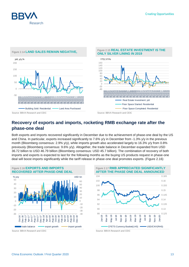



### **Recovery of exports and imports, rocketing RMB exchange rate after the phase-one deal**

Both exports and imports recovered significantly in December due to the achievement of phase-one deal by the US and China. In particular, exports increased significantly to 7.6% y/y in December from -1.3% y/y in the previous month (Bloomberg consensus: 2.9% y/y), while imports growth also accelerated largely to 16.3% y/y from 0.8% previously (Bloomberg consensus: 9.6% y/y). Altogether, the trade balance in December expanded from USD 36.72 billion to USD 46.79 billion (Bloomberg consensus: USD 45.7 billion). The combination of recovery of both imports and exports is expected to last for the following months as the buying US products request in phase-one deal will boost imports significantly while the tariff release in phase-one deal promotes exports. (Figure 2.16)



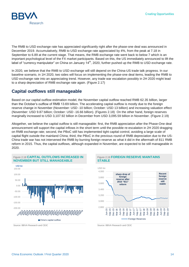

The RMB to USD exchange rate has appreciated significantly right after the phase-one deal was announced in December 2019. Accumulatively, RMB to USD exchange rate appreciated by 4%, from the peak at 7.18 in September to 6.89 at the current stage. That means, the RMB exchange rate went back to below 7 which is an important psychological level of the FX market participants. Based on this, the US immediately announced to lift the label of "currency manipulator" on China on January 14<sup>th</sup>, 2020, further pushed up the RMB to USD exchange rate.

In 2020, we believe that the RMB to USD exchange will still depend on the China-US trade talk progress. In our baseline scenario, in 1H 2020, two sides will focus on implementing the phase-one deal items, leading the RMB to USD exchange rate into an appreciating trend. However, any trade war escalation possibly in 2H 2020 might lead to a sharp depreciation of RMB exchange rate again. (Figure 2.17)

#### **Capital outflows still manageable**

Based on our capital outflow estimation model, the November capital outflow reached RMB 62.35 billion, larger than the October's outflow of RMB 13.69 billion. The accelerating capital outflow is mostly due to the foreign reserve change in November (November: USD -10 billion; October: USD 13 billion) and increasing valuation effect (November: USD 9.87 billion; October: USD -16.66 billion). (Figures 2.18) On the other hand, foreign reserves marginally increased to USD 3,107.92 billion in December from USD 3,095.59 billion in November. (Figure 2.19)

Altogether, we believe the capital outflow is still manageable: first, the RMB appreciation after the Phase-One deal announcement will support the capital inflows in the short term until the possible re-escalation in 2H 2020 dragging on RMB exchange rate; second, the PBoC still has implemented tight capital control, avoiding a large scale of capital flight outside the mainland China; third, the PBoC in the previous round of RMB depreciation due to the US-China trade war has not intervened the RMB by burning foreign reserve as what it did in the aftermath of 811 RMB reform in 2015. Thus, the capital outflows, although expanded in November, are expected to be still manageable in 2020.



Figure 2.19 **FOREIGN RESERVE MAINTAINS STABLE**



Source: BBVA Research and CEIC Source: BBVA Research and CEIC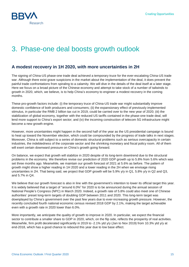

# <span id="page-14-0"></span>3. Phase-one deal boosts growth outlook

## **A modest recovery in 1H 2020, with more uncertainties in 2H**

The signing of China-US phase-one trade deal achieved a temporary truce for the ever-escalating China-US trade war. Although there exist grave suspicions in the market about the implementation of the deal, it does prevent the painful trade confrontations from spiraling to a calamity. We will dive in the details of the deal itself at a later stage. Here we focus on a broad picture of the Chinese economy and attempt to take stock of a number of tailwinds to growth in 2020, which, we believe, is to help China's economy to engineer a modest recovery in the coming months.

These pro-growth factors include: (i) the temporary truce of China-US trade war might substantially improve domestic confidence of both producers and consumers; (ii) the expansionary effect of previously implemented stimulus, in particular the RMB 2 billion tax cut in 2019, could be carried over to the new year of 2020; (iii) the stabilization of global economy, together with the reduced US tariffs contained in the phase-one trade deal, will lend more support to China's export sector; and (iv) the incoming construction of telecom 5G infrastructure might become a new growth engine.

However, more uncertainties might happen in the second half of the year as the US presidential campaign is bound to heat up toward the November election, which could be compounded by the progress of trade talks in next stages. Moreover, China is still subject to a series of domestic structural problems such as serious overcapacity in certain industries, the indebtedness of the corporate sector and the shrinking monetary and fiscal policy room. All of them will exert certain downward pressure on China's growth going forward.

On balance, we expect that growth will stabilize in 2020 despite of its long-term downtrend due to the structural problems in the economy. We therefore revise our prediction of 2020 GDP growth up to 5.8% from 5.6% which was set three months ago. Meanwhile, we maintain our growth forecast of 2021 at 5.6% as before. The pattern of growth might show a higher reading in 1H 2020 and a lower reading in the 2H when we envisage rising uncertainties in 2H. That being said, we project that GDP growth will be 5.9% y/y in Q1, 5.8% y/y in Q2 and Q3, and 5.7% in Q4.

We believe that our growth forecast is also in line with the government's intention to lower its official target this year. It is widely believed that a target of "around 6.0%" for 2020 is to be announced during the annual session of National People's Congress (NPC) in March 2020. Indeed, a growth rate of 5.8% could also meet one of Chinese authorities' preset long-term targets of doubling GDP between 2011 and 2020. This long-term target was downplayed by China's government over the past few years due to ever-increasing growth pressure. However, the recently concluded fourth national economic census revised 2018 GDP by 2.1%, making the target achievable even with a growth rate in 2020 lower than 6.0%.

More importantly, we anticipate the quality of growth to improve in 2020. In particular, we expect the financial sector to contribute a smaller share to GDP in 2020, which, on the flip side, reflects the prosperity of real activities. Meanwhile, firm profit decelerated significantly in 2019 to -2.1% ytd y/y (Jan to Nov 2019) from 10.3% ytd y/y at end-2018, which has a good chance to rebound this year due to low base effect.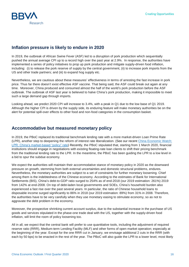

# **Inflation pressure is likely to endure in 2020**

In 2019, the outbreak of African Swine Fever (ASF) led to a disruption of pork production which sequentially pushed the annual average CPI up to a record high over the past year at 2.9%. In response, the authorities have implemented a series of policy initiatives to prop up pork production and mitigate supply-driven food inflation, including: (i) to release the pork reserve of supply by the central government, (ii) to increase pork imports from the US and other trade partners; and (iii) to expand hog supply etc.

Nevertheless, we are cautious about these measures' effectiveness in terms of arresting the fast increase in pork price. Thus far there doesn't exist effective ASF vaccine. That being said, the ASF could break out again at any time. Moreover, China produced and consumed almost the half of the world's pork production before the ASF outbreak. The outbreak of ASF last year is believed to halve China's pork production, making it impossible to meet such a large demand gap through imports.

Looking ahead, we predict 2020 CPI will increase to 3.4%, with a peak in Q1 due to the low base of Q1 2019. Although the higher CPI is driven by the supply side, its enduring feature will make monetary authorities be on the alert for potential spill-over effects to other food and non-food categories in the consumption basket.

## **Accommodative but measured monetary policy**

In 2019, the PBoC replaced its traditional benchmark lending rate with a more market-driven Loan Prime Rate (LPR), another step to deepening the reform of interest rate liberalization. (See our recent [China Economic Watch:](https://www.bbvaresearch.com/en/publicaciones/china-lpr-chinas-market-based-policy-rate/)  [LPR: China's market-based "policy" rate\)](https://www.bbvaresearch.com/en/publicaciones/china-lpr-chinas-market-based-policy-rate/) Recently, the PBoC stipulated that, starting from 1 March 2020, financial institutions should engage in negotiations with existing floating-rate loan clients to shift their pricing benchmark from the traditional lending rate to the LPR. In the meantime, the PBoC has been guiding the LPR to a low level in a bid to spur the subdue economy.

We expect the authorities will maintain their accommodative stance of monetary policy in 2020 as the downward pressure on growth, stemming from both external uncertainties and domestic structural problems, endures. Nevertheless, the monetary authorities are subject to a set of constraints for further monetary loosening. Chief among them is the indebtedness of the Chinese economy. According to the estimates of Bank for International Settlements (BIS), China's debt-to-GDP ratio surged to 254% as of end-2018 (our 2019 estimation: 261%) 2019 from 142% at end-2008. On top of debt-laden local governments and SOEs, China's household burden also experienced a fast rise over the past several years. In particular, the ratio of Chinese household loans to disposable income surged significantly to 86% in 2018 (our 2019 estimation: 89%) from 31% in 2008. Therefore, the authorities have to be very carefully when they use monetary easing to stimulate economy, so as not to aggravate the debt problem in the economy.

Moreover, the prospective shrinking current account surplus, due to the substantial increase in the purchase of US goods and services stipulated in the phase-one trade deal with the US, together with the supply-driven food inflation, will limit the room of policy loosening too.

All in all, we expect that the central bank will prefer to use quantitative tools, including the adjustment of required reserve ratio (RRR), Medium-term Lending Facility (MLF) and other forms of open market operation; especially at the beginning of the year. Except for the one RRR cut in January, we envisage additional 2 cuts in the RRR (with each by 50 bps) to be enacted in the rest of the year. The PBoC will also guide the LPR to a lower level, most likely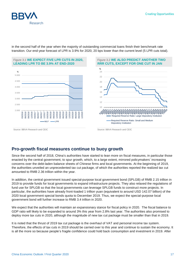



in the second half of the year when the majority of outstanding commercial loans finish their benchmark rate transition. Our end-year forecast of LPR is 3.9% for 2020, 20 bps lower than the current level (5 LPR cuts total).

# **Pro-growth fiscal measures continue to buoy growth**

Since the second half of 2018, China's authorities have started to lean more on fiscal measures, in particular those enacted by the central government, to spur growth, which, to a large extent, mirrored policymakers' increasing concerns over the debt-laden balance sheets of Chinese firms and local governments. At the beginning of 2019, the authorities unveiled an unprecedented tax cut package, of which the authorities reported the realized tax cut amounted to RMB 2.36 trillion within the year.

In addition, the central government issued special-purpose local government bond (SPLGB) of RMB 2.15 trillion in 2019 to provide funds for local governments to expand infrastructure projects. They also relaxed the regulations of fund use for SPLGB so that the local governments can leverage SPLGB funds to construct more projects. In particular, the authorities have already front-loaded 1 trillion yuan (equivalent to around USD 142.07 billion) of the 2020 local government special bonds quota to December 2019. Thus, we expect the special-purpose local government bond will further increase to RMB 3.4 trillion in 2020.

We expect that the authorities will maintain an expansionary stance for fiscal policy in 2020. The fiscal balance to GDP ratio will likely to be expanded to around 3% this year from 2.8% last year. The authorities also promised to deploy more tax cuts in 2020, although the magnitude of new tax cut package must be smaller than that in 2019.

It is noted that the thrust of 2019 tax cut package is the overhaul of VAT and personal income tax system. Therefore, the effects of tax cuts in 2019 should be carried over to this year and continue to sustain the economy. It is all the more so because people's fragile confidence could hold back consumption and investment in 2019. After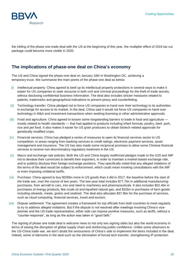

the inkling of the phase one trade deal with the US at the beginning of this year, the multiplier effect of 2019 tax cut package could become more visible in 2020.

### **The implications of phase-one deal on China's economy**

The US and China signed the phase-one deal on January 16th in Washington DC, achieving a temporary truce. We summarize the main points of the phase-one deal as below:

- (i) Intellectual property: China agreed to beef up its intellectual property protections in several ways to make it easier for US companies to seek recourse in both civil and criminal proceedings for the theft of trade secrets, without disclosing confidential business information. The deal also includes stricter measures related to patents, trademarks and geographical indications to prevent piracy and counterfeiting.
- (ii) Technology transfer: China pledged not to force US companies to hand over their technology to its authorities in exchange for access to its market. In the deal, China said it would not force US companies to hand over technology in M&A and investment transactions when seeking licensing or other administrative approvals.
- (iii) Food and agriculture: China agreed to loosen some longstanding barriers to trade in food and agriculture mostly related to health standards — that had applied to products including infant formula, poultry, beef, pork, rice and pet food. It also makes it easier for US grain producers to obtain biotech-related approvals for genetically modified crops.
- (iv) Financial services: China has pledged a series of measures to open its financial services sector to US competition, in areas ranging from banking services to credit ratings, electronic payment services, asset management and insurance. The US has also made some reciprocal promises to allow some Chinese financial services to receive non-discriminatory regulatory treatment in the US.
- (v) Macro and exchange rate policies: Both the US and China largely reaffirmed pledges made to the G20 and IMF not to devalue their currencies to benefit their exporters, in order to maintain a market-based exchange rate, and to publicly disclose their foreign exchange positions. They specifically noted that any alleged violations of the terms of the deal would be subject to enforcement, which could mean invoking consultations with the IMF or even imposing unilateral tariffs.
- (vi) Purchase: China agreed to buy \$200bn more in US goods than it did in 2017, the baseline before the start of the trade war, over the course of two years. The two-year total includes \$77.7bn in additional manufacturing purchases, from aircraft to cars, iron and steel to machinery and pharmaceuticals. It also includes \$52.4bn in purchases of energy products, like crude oil and liquefied natural gas, and \$32bn in purchases of farm goods including oilseeds, meats, grains and seafood. The deal also allocates \$37.9bn for the purchase of services, such as cloud computing, financial services, travel and tourism.
- (vii) Dispute settlement: The agreement creates a framework for top officials from both countries to meet regularly to try to address alleged violations. But if the dispute is not resolved after meetings involving China's vicepremier and the US trade representative, either side can impose punitive measures, such as tariffs, without a "counter-response", as long as the action was taken in "good faith."

The signing of phase one trade deal is welcome news to not only two signing sides but also the world economy in terms of easing the disruption of global supply chain and reinforcing public confidence. Unlike some observers to the US-China trade war, we don't doubt the seriousness of China's side to implement the items included in the deal. Indeed, some of elements in the deal such as the elimination of forced tech transfer, strengthening IP protection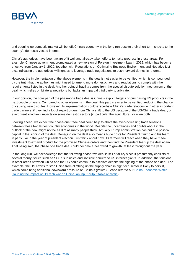

and opening-up domestic market will benefit China's economy in the long run despite their short-term shocks to the country's domestic vested interest.

China's authorities have been aware of it well and already taken efforts to make progress in these areas. For example, Chinese government promulgated a new version of Foreign Investment Law in 2019, which has become effective from January 1, 2020, together with Regulations on Optimizing Business Environment and Negative List etc., indicating the authorities' willingness to leverage trade negotiations to push forward domestic reforms.

However, the implementation of the above elements in the deal is not easier to be verified, which is compounded by the truth that the authorities might need to amend more domestic laws and regulations to comply with the requirements listed in the deal. Another point of fragility comes from the special dispute solution mechanism of the deal, which relies on bilateral negations but lacks an impartial third party to arbitrate.

In our opinion, the core part of the phase-one trade deal is China's explicit targets of purchasing US products in the next couple of years. Compared to other elements in the deal, this part is easier to be verified, reducing the chance of causing new disputes. However, its implementation could exacerbate China's trade relations with other important trade partners, if they find a lot of export orders from China shift to the US because of the US-China trade deal ; or exert great knock-on impacts on some domestic sectors (in particular the agriculture); or even both.

Looking ahead, we expect the phase-one trade deal could help to abate the ever-increasing trade tensions between these two largest country economies in the world. Despite the uncertainties and doubts about it, the outlook of the deal might not be as dim as many people think. Actually Trump administration has put due political capital in the signing of the deal. Reneging on the deal also means huge costs for President Trump and his team, in particular in the year of president election. Just think about how US farmers will react when they have made investment to expand product for the promised Chinese orders and then find the President tear up the deal again. That being said, the phase one trade deal could become a headwind to growth, at least throughout the year.

In the long run, we acknowledge that the following phase-two deal is still a far cry since it presumably consists of several thorny issues such as SOEs subsidies and invisible barriers to US internet giants. In addition, the tensions in other areas between China and the US could continue to escalate despite the signing of the phase one deal. For example, the US efforts to stop China from climbing up the supply chain in high tech sector is likely to persist, which could bring additional downward pressure on China's growth (Please refer to our China Economic Watch: [Gauging the impact of US tech war on China: an input-output table analysis\)](https://www.bbvaresearch.com/en/publicaciones/china-gauging-the-impact-of-us-tech-war-on-china-an-input-output-table-analysis/).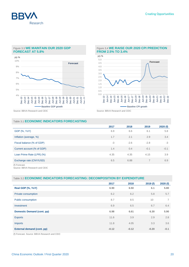

#### Figure 3.3 **WE MAINTAIN OUR 2020 GDP FORECAST AT 5.8%**



#### Figure 3.4 **WE RAISE OUR 2020 CPI PREDICTION FROM 2.5% TO 3.4%**



Source: BBVA Research and CEIC Source: BBVA Research and CEIC

#### Table 3.1 **ECONOMIC INDICATORS FORECASTING**

|                            | 2017 | 2018   | 2019           | 2020(f) |
|----------------------------|------|--------|----------------|---------|
| <b>GDP</b> (%, YoY)        | 6.9  | 6.6    | 6.1            | 5.8     |
| Inflation (average, %)     | 1.7  | 2.1    | 2.9            | 3.4     |
| Fiscal balance (% of GDP)  | $-3$ | $-2.6$ | $-2.8$         | $-3$    |
| Current account (% of GDP) | 1.4  | 0.4    | $-0.1$         | $-0.1$  |
| Loan Prime Rate (LPR) (%)  | 4.35 | 4.35   | 4.15           | 3.9     |
| Exchange rate (CNY/USD)    | 6.5  | 6.88   | $\overline{7}$ | 6.9     |
| (f) Forecast.              |      |        |                |         |

Source: BBVA Research and CEIC

#### Table 3.2 **ECONOMIC INDICATORS FORECASTING: DECOMPOSITION BY EXPENDITURE**

|                                   | 2017    | 2018    | 2019(f) | 2020(f) |
|-----------------------------------|---------|---------|---------|---------|
| Real GDP (%, YoY)                 | 6.90    | 6.50    | 6.1     | 5.80    |
| Private consumption               | 6.2     | 6.2     | 5.8     | 5.7     |
| Public consumption                | 8.7     | 8.5     | 10      | 7       |
| Investment                        | 6.9     | 6.5     | 6.7     | 6.4     |
| <b>Domestic Demand (cont. pp)</b> | 6.98    | 6.61    | 6.30    | 5.90    |
| <b>Exports</b>                    | 11.6    | 3.9     | 2.9     | 2.8     |
| <b>Imports</b>                    | 11.8    | 4.05    | 3.3     | 3.6     |
| External demand (cont. pp)        | $-0.12$ | $-0.12$ | $-0.20$ | $-0.1$  |

(f) Forecast. Source: BBVA Research and CEIC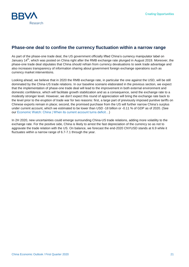

### **Phase-one deal to confine the currency fluctuation within a narrow range**

As part of the phase-one trade deal, the US government officially lifted China's currency manipulator label on January 14<sup>th</sup>, which was posted on China right after the RMB exchange rate plunged in August 2019. Moreover, the phase-one trade deal stipulates that China should refrain from currency devaluations to seek trade advantage and also increases transparency of information sharing about government foreign exchange operations such as currency market interventions.

Looking ahead, we believe that in 2020 the RMB exchange rate, in particular the one against the USD, will be still dominated by the China-US trade relations. In our baseline scenario elaborated in the previous section, we expect that the implementation of phase-one trade deal will lead to the improvement in both external environment and domestic confidence, which will facilitate growth stabilization and as a consequence, send the exchange rate to a modestly stronger level. However, we don't expect this round of appreciation will bring the exchange rate back to the level prior to the eruption of trade war for two reasons: first, a large part of previously imposed punitive tariffs on Chinese exports remain in place; second, the promised purchase from the US will further narrow China's surplus under current account, which we estimated to be lower than USD -18 billion or -0.11 % of GDP as of 2020. (See our [Economic Watch: China | When its current account turns deficit…\)](https://www.bbvaresearch.com/en/publicaciones/china-when-its-current-account-turns-deficit/)

In 2H 2020, new uncertainties could emerge surrounding China-US trade relations, adding more volatility to the exchange rate. For the positive side, China is likely to arrest the fast depreciation of the currency so as not to aggravate the trade relation with the US. On balance, we forecast the end-2020 CNYUSD stands at 6.9 while it fluctuates within a narrow range of 6.7-7.1 through the year.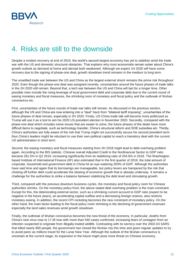

# <span id="page-21-0"></span>4. Risks are still to the downside

Despite a modest recovery at end of 2019, the world's second-largest economy has yet to stabilize amid the trade war with the US and domestic structural obstacles. That explains why most economists remain sober about China's growth outlook as demand at home and abroad both weakened. Although we expect 1H 2020 will have some recovery due to the signing of phase-one deal, growth slowdown trend remains in the medium to long term.

The unsettled trade war between the US and China as the largest external shock remains the prime risk throughout 2020. Even though the phase-one deal was assigned recently, uncertainties around the future phases of trade talks in the 2H 2020 still remain. Beyond that, a tech war between the US and China will last for a longer time. Other possible risks include the rising leverage of local government debt and corporate debt due to the current round of easing monetary and fiscal measures, the shrinking room of monetary and fiscal policy and the outbreak of Wuhan coronavirus etc.

First, uncertainties of the future rounds of trade war talks still remain. As discussed in the previous section, although the US and China are now entering into a "deal" track from "bilateral tariff imposing", uncertainties of the future phases of deal remain, especially in 2H 2020. Firstly, US-China trade talk will become more politicized as Trump will use it as a tool to win his 2020 US president election in November 2020. Secondly, compared with the phase-one deal which includes some issues that are easier to solve, the future phases of the deals have more difficult items to negotiate, such as technology transfer, China's structural reform and SOE subsidies etc. Thirdly, China's authorities are fully aware of the risk that Trump might not successfully secure his second president term thus China's leaders might be reluctant to use their own political capital to reach a transitory deal with the current US administration in short term.

Second, the easing monetary and fiscal measures starting from 2H 2018 might lead to debt overhang problem again. According to the BIS statistic, Chinese overall Adjusted Credit to the Nonfinancial Sector to GDP ratio became 261.5% in Q2 2019, increasing significantly from its stabilizing ratio of 254.6% in 2018. The Washingtonbased Institute of International Finance (IIF) also estimated that in the first quarter of 2019, the total amount of corporate, household and government debt in China hit an eye-watering 303% of GDP. Although the authorities have said time and again that its borrowings are manageable, but policy levers are hampered by the risk that choking off further debt could accelerate the slowing of economic growth that is already underway. It remains a challenge for the authorities to strike a balance between stabilizing the debt level and stimulating growth.

Third, compared with the previous downturn business cycles, the monetary and fiscal policy room for Chinese authorities shrinks. On the monetary policy front, the above-stated debt overhang problem is the main constraint. Except for this, the deteriorating external sector, such as a shrinking current account to GDP ratio (expect to be negative in the future years), an accelerating capital outflow and a decreasing foreign reserve, also restricts monetary easing. In addition, the recent CPI rocketing becomes the new constraint of monetary policy. On the other hand, the main factor leading to the fiscal policy room shrinking is the declining of government revenues especially the land sales revenues amid growth slowdown.

Finally, the outbreak of Wuhan coronavirus becomes the new threat of the economy. In particular, deaths from China's new virus rose to 17 till now with more than 540 cases confirmed, increasing fears of contagion from an infection suspected to originate from illegally-traded wildlife. Contrasting with its secrecy over the 2002-03 SARS that killed nearly 800 people, the government has closed the Wuhan city this time and given regular updates to try to avoid panic as millions travel for the Lunar New Year. Although the outlook of the Wuhan coronavirus is uncertain at the current stage, its expansion in the future might pose more threat on Chinese economy.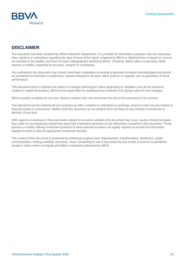

### **DISCLAIMER**

This document has been prepared by BBVA Research Department. It is provided for information purposes only and expresses data, opinions or estimations regarding the date of issue of the report, prepared by BBVA or obtained from or based on sources we consider to be reliable, and have not been independently verified by BBVA. Therefore, BBVA offers no warranty, either express or implicit, regarding its accuracy, integrity or correctness.

Any estimations this document may contain have been undertaken according to generally accepted methodologies and should be considered as forecasts or projections. Results obtained in the past, either positive or negative, are no guarantee of future performance.

This document and its contents are subject to changes without prior notice depending on variables such as the economic context or market fluctuations. BBVA is not responsible for updating these contents or for giving notice of such changes.

BBVA accepts no liability for any loss, direct or indirect, that may result from the use of this document or its contents.

This document and its contents do not constitute an offer, invitation or solicitation to purchase, divest or enter into any interest in financial assets or instruments. Neither shall this document nor its contents form the basis of any contract, commitment or decision of any kind.

With regard to investment in financial assets related to economic variables this document may cover, readers should be aware that under no circumstances should they base their investment decisions on the information contained in this document. Those persons or entities offering investment products to these potential investors are legally required to provide the information needed for them to take an appropriate investment decision.

The content of this document is protected by intellectual property laws. Reproduction, transformation, distribution, public communication, making available, extraction, reuse, forwarding or use of any nature by any means or process is prohibited, except in cases where it is legally permitted or expressly authorised by BBVA